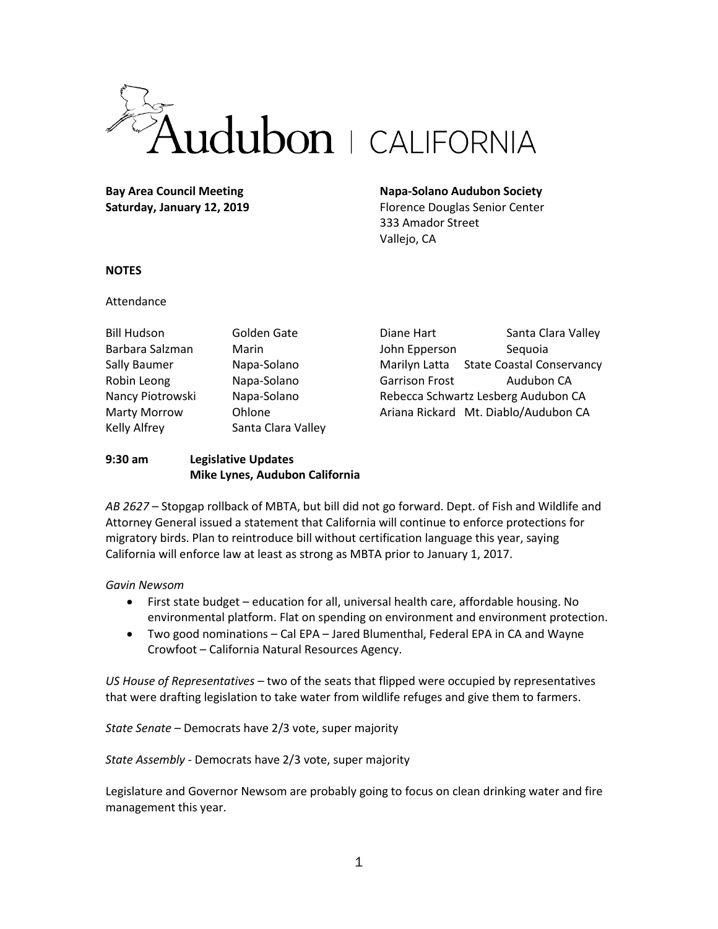

**Bay Area Council Meeting Saturday, January 12, 2019**

# **Napa-Solano Audubon Society**

Florence Douglas Senior Center 333 Amador Street Vallejo, CA

### **NOTES**

### Attendance

| <b>Bill Hudson</b>  | Golden Gate        |
|---------------------|--------------------|
| Barbara Salzman     | Marin              |
| Sally Baumer        | Napa-Solano        |
| Robin Leong         | Napa-Solano        |
| Nancy Piotrowski    | Napa-Solano        |
| <b>Marty Morrow</b> | Ohlone             |
| <b>Kelly Alfrey</b> | Santa Clara Valley |

Diane Hart Santa Clara Valley John Epperson Sequoia Marilyn Latta State Coastal Conservancy Garrison Frost Audubon CA Rebecca Schwartz Lesberg Audubon CA Ariana Rickard Mt. Diablo/Audubon CA

## **9:30 am Legislative Updates Mike Lynes, Audubon California**

*AB 2627* – Stopgap rollback of MBTA, but bill did not go forward. Dept. of Fish and Wildlife and Attorney General issued a statement that California will continue to enforce protections for migratory birds. Plan to reintroduce bill without certification language this year, saying California will enforce law at least as strong as MBTA prior to January 1, 2017.

# *Gavin Newsom*

- First state budget education for all, universal health care, affordable housing. No environmental platform. Flat on spending on environment and environment protection.
- Two good nominations Cal EPA Jared Blumenthal, Federal EPA in CA and Wayne Crowfoot – California Natural Resources Agency.

*US House of Representatives* – two of the seats that flipped were occupied by representatives that were drafting legislation to take water from wildlife refuges and give them to farmers.

*State Senate* – Democrats have 2/3 vote, super majority

*State Assembly* - Democrats have 2/3 vote, super majority

Legislature and Governor Newsom are probably going to focus on clean drinking water and fire management this year.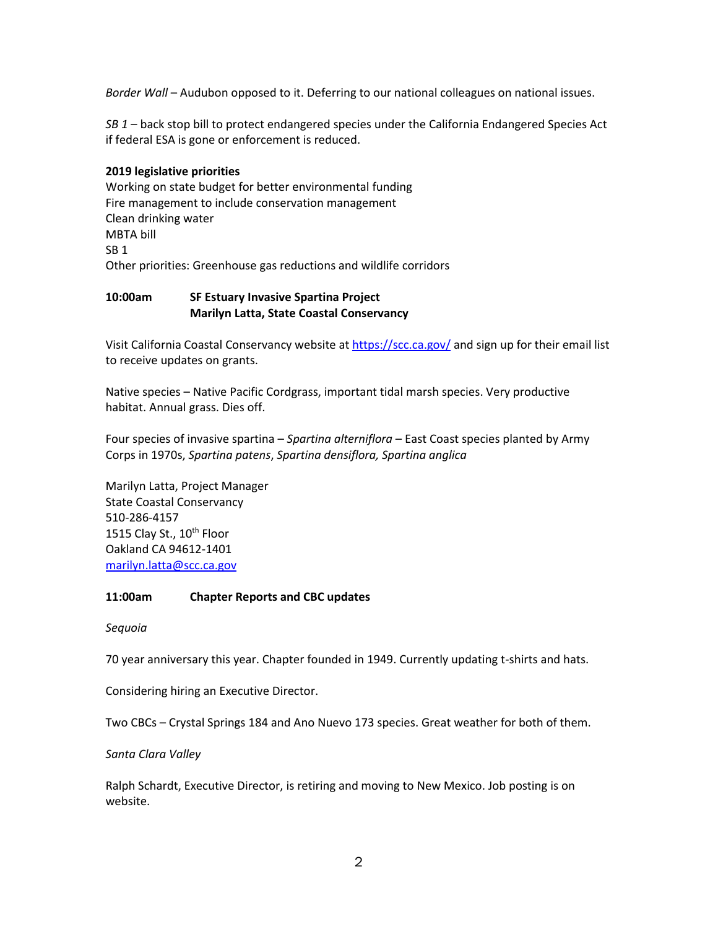*Border Wall* – Audubon opposed to it. Deferring to our national colleagues on national issues.

*SB 1* – back stop bill to protect endangered species under the California Endangered Species Act if federal ESA is gone or enforcement is reduced.

# **2019 legislative priorities**

Working on state budget for better environmental funding Fire management to include conservation management Clean drinking water MBTA bill SB 1 Other priorities: Greenhouse gas reductions and wildlife corridors

## **10:00am SF Estuary Invasive Spartina Project Marilyn Latta, State Coastal Conservancy**

Visit California Coastal Conservancy website a[t https://scc.ca.gov/](https://scc.ca.gov/) and sign up for their email list to receive updates on grants.

Native species – Native Pacific Cordgrass, important tidal marsh species. Very productive habitat. Annual grass. Dies off.

Four species of invasive spartina – *Spartina alterniflora* – East Coast species planted by Army Corps in 1970s, *Spartina patens*, *Spartina densiflora, Spartina anglica*

Marilyn Latta, Project Manager State Coastal Conservancy 510-286-4157 1515 Clay St., 10<sup>th</sup> Floor Oakland CA 94612-1401 [marilyn.latta@scc.ca.gov](mailto:marilyn.latta@scc.ca.gov)

### **11:00am Chapter Reports and CBC updates**

### *Sequoia*

70 year anniversary this year. Chapter founded in 1949. Currently updating t-shirts and hats.

Considering hiring an Executive Director.

Two CBCs – Crystal Springs 184 and Ano Nuevo 173 species. Great weather for both of them.

*Santa Clara Valley*

Ralph Schardt, Executive Director, is retiring and moving to New Mexico. Job posting is on website.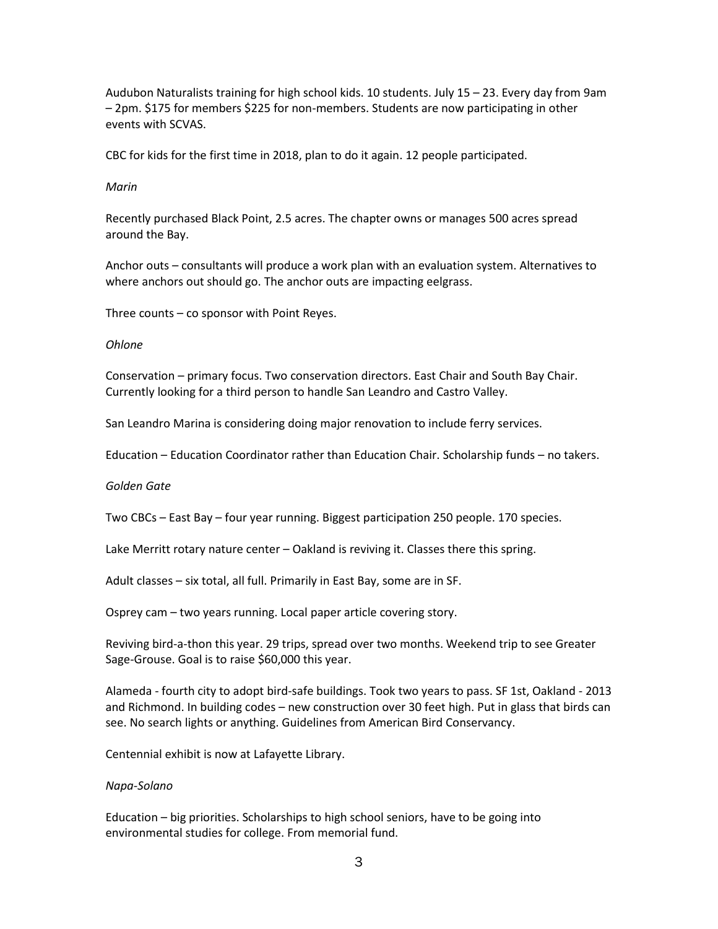Audubon Naturalists training for high school kids. 10 students. July 15 – 23. Every day from 9am – 2pm. \$175 for members \$225 for non-members. Students are now participating in other events with SCVAS.

CBC for kids for the first time in 2018, plan to do it again. 12 people participated.

#### *Marin*

Recently purchased Black Point, 2.5 acres. The chapter owns or manages 500 acres spread around the Bay.

Anchor outs – consultants will produce a work plan with an evaluation system. Alternatives to where anchors out should go. The anchor outs are impacting eelgrass.

Three counts – co sponsor with Point Reyes.

#### *Ohlone*

Conservation – primary focus. Two conservation directors. East Chair and South Bay Chair. Currently looking for a third person to handle San Leandro and Castro Valley.

San Leandro Marina is considering doing major renovation to include ferry services.

Education – Education Coordinator rather than Education Chair. Scholarship funds – no takers.

#### *Golden Gate*

Two CBCs – East Bay – four year running. Biggest participation 250 people. 170 species.

Lake Merritt rotary nature center – Oakland is reviving it. Classes there this spring.

Adult classes – six total, all full. Primarily in East Bay, some are in SF.

Osprey cam – two years running. Local paper article covering story.

Reviving bird-a-thon this year. 29 trips, spread over two months. Weekend trip to see Greater Sage-Grouse. Goal is to raise \$60,000 this year.

Alameda - fourth city to adopt bird-safe buildings. Took two years to pass. SF 1st, Oakland - 2013 and Richmond. In building codes – new construction over 30 feet high. Put in glass that birds can see. No search lights or anything. Guidelines from American Bird Conservancy.

Centennial exhibit is now at Lafayette Library.

### *Napa-Solano*

Education – big priorities. Scholarships to high school seniors, have to be going into environmental studies for college. From memorial fund.